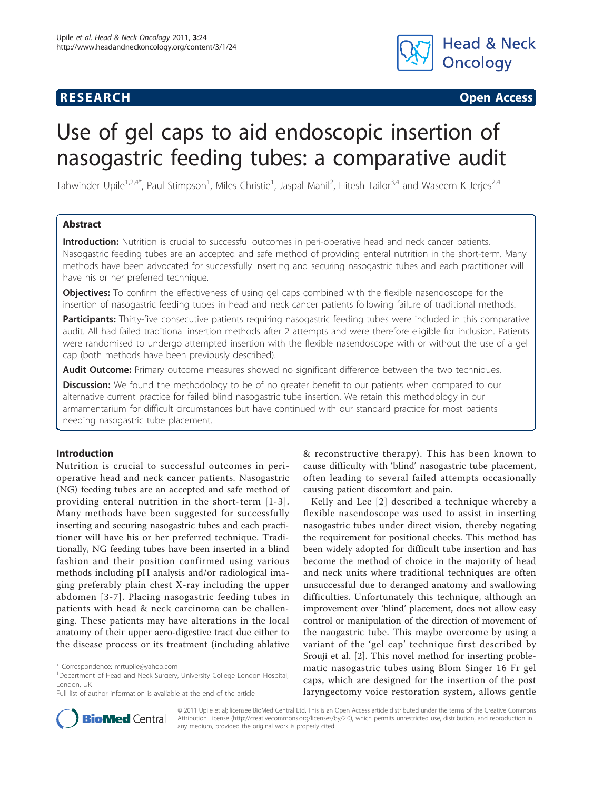# **RESEARCH CONTROL** RESEARCH COMMUNISMENT CONTROL CONTROL CONTROL CONTROL CONTROL CONTROL CONTROL CONTROL CONTROL CONTROL CONTROL CONTROL CONTROL CONTROL CONTROL CONTROL CONTROL CONTROL CONTROL CONTROL CONTROL CONTROL CONTR



# Use of gel caps to aid endoscopic insertion of nasogastric feeding tubes: a comparative audit

Tahwinder Upile<sup>1,2,4\*</sup>, Paul Stimpson<sup>1</sup>, Miles Christie<sup>1</sup>, Jaspal Mahil<sup>2</sup>, Hitesh Tailor<sup>3,4</sup> and Waseem K Jerjes<sup>2,4</sup>

# Abstract

Introduction: Nutrition is crucial to successful outcomes in peri-operative head and neck cancer patients. Nasogastric feeding tubes are an accepted and safe method of providing enteral nutrition in the short-term. Many methods have been advocated for successfully inserting and securing nasogastric tubes and each practitioner will have his or her preferred technique.

Objectives: To confirm the effectiveness of using gel caps combined with the flexible nasendoscope for the insertion of nasogastric feeding tubes in head and neck cancer patients following failure of traditional methods.

Participants: Thirty-five consecutive patients requiring nasogastric feeding tubes were included in this comparative audit. All had failed traditional insertion methods after 2 attempts and were therefore eligible for inclusion. Patients were randomised to undergo attempted insertion with the flexible nasendoscope with or without the use of a gel cap (both methods have been previously described).

Audit Outcome: Primary outcome measures showed no significant difference between the two techniques.

**Discussion:** We found the methodology to be of no greater benefit to our patients when compared to our alternative current practice for failed blind nasogastric tube insertion. We retain this methodology in our armamentarium for difficult circumstances but have continued with our standard practice for most patients needing nasogastric tube placement.

# Introduction

Nutrition is crucial to successful outcomes in perioperative head and neck cancer patients. Nasogastric (NG) feeding tubes are an accepted and safe method of providing enteral nutrition in the short-term [[1](#page-4-0)-[3\]](#page-4-0). Many methods have been suggested for successfully inserting and securing nasogastric tubes and each practitioner will have his or her preferred technique. Traditionally, NG feeding tubes have been inserted in a blind fashion and their position confirmed using various methods including pH analysis and/or radiological imaging preferably plain chest X-ray including the upper abdomen [[3-7](#page-4-0)]. Placing nasogastric feeding tubes in patients with head & neck carcinoma can be challenging. These patients may have alterations in the local anatomy of their upper aero-digestive tract due either to the disease process or its treatment (including ablative



Kelly and Lee [[2](#page-4-0)] described a technique whereby a flexible nasendoscope was used to assist in inserting nasogastric tubes under direct vision, thereby negating the requirement for positional checks. This method has been widely adopted for difficult tube insertion and has become the method of choice in the majority of head and neck units where traditional techniques are often unsuccessful due to deranged anatomy and swallowing difficulties. Unfortunately this technique, although an improvement over 'blind' placement, does not allow easy control or manipulation of the direction of movement of the naogastric tube. This maybe overcome by using a variant of the 'gel cap' technique first described by Srouji et al. [[2\]](#page-4-0). This novel method for inserting problematic nasogastric tubes using Blom Singer 16 Fr gel caps, which are designed for the insertion of the post laryngectomy voice restoration system, allows gentle



© 2011 Upile et al; licensee BioMed Central Ltd. This is an Open Access article distributed under the terms of the Creative Commons Attribution License [\(http://creativecommons.org/licenses/by/2.0](http://creativecommons.org/licenses/by/2.0)), which permits unrestricted use, distribution, and reproduction in any medium, provided the original work is properly cited.

<sup>\*</sup> Correspondence: [mrtupile@yahoo.com](mailto:mrtupile@yahoo.com)

<sup>&</sup>lt;sup>1</sup>Department of Head and Neck Surgery, University College London Hospital, London, UK

Full list of author information is available at the end of the article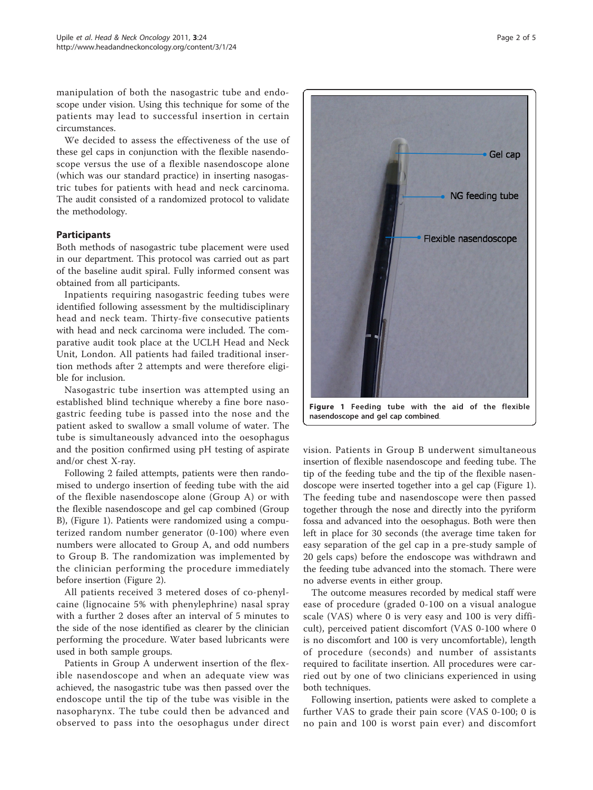manipulation of both the nasogastric tube and endoscope under vision. Using this technique for some of the patients may lead to successful insertion in certain circumstances.

We decided to assess the effectiveness of the use of these gel caps in conjunction with the flexible nasendoscope versus the use of a flexible nasendoscope alone (which was our standard practice) in inserting nasogastric tubes for patients with head and neck carcinoma. The audit consisted of a randomized protocol to validate the methodology.

# Participants

Both methods of nasogastric tube placement were used in our department. This protocol was carried out as part of the baseline audit spiral. Fully informed consent was obtained from all participants.

Inpatients requiring nasogastric feeding tubes were identified following assessment by the multidisciplinary head and neck team. Thirty-five consecutive patients with head and neck carcinoma were included. The comparative audit took place at the UCLH Head and Neck Unit, London. All patients had failed traditional insertion methods after 2 attempts and were therefore eligible for inclusion.

Nasogastric tube insertion was attempted using an established blind technique whereby a fine bore nasogastric feeding tube is passed into the nose and the patient asked to swallow a small volume of water. The tube is simultaneously advanced into the oesophagus and the position confirmed using pH testing of aspirate and/or chest X-ray.

Following 2 failed attempts, patients were then randomised to undergo insertion of feeding tube with the aid of the flexible nasendoscope alone (Group A) or with the flexible nasendoscope and gel cap combined (Group B), (Figure 1). Patients were randomized using a computerized random number generator (0-100) where even numbers were allocated to Group A, and odd numbers to Group B. The randomization was implemented by the clinician performing the procedure immediately before insertion (Figure [2](#page-2-0)).

All patients received 3 metered doses of co-phenylcaine (lignocaine 5% with phenylephrine) nasal spray with a further 2 doses after an interval of 5 minutes to the side of the nose identified as clearer by the clinician performing the procedure. Water based lubricants were used in both sample groups.

Patients in Group A underwent insertion of the flexible nasendoscope and when an adequate view was achieved, the nasogastric tube was then passed over the endoscope until the tip of the tube was visible in the nasopharynx. The tube could then be advanced and observed to pass into the oesophagus under direct



vision. Patients in Group B underwent simultaneous insertion of flexible nasendoscope and feeding tube. The tip of the feeding tube and the tip of the flexible nasendoscope were inserted together into a gel cap (Figure 1). The feeding tube and nasendoscope were then passed together through the nose and directly into the pyriform fossa and advanced into the oesophagus. Both were then left in place for 30 seconds (the average time taken for easy separation of the gel cap in a pre-study sample of 20 gels caps) before the endoscope was withdrawn and the feeding tube advanced into the stomach. There were no adverse events in either group.

The outcome measures recorded by medical staff were ease of procedure (graded 0-100 on a visual analogue scale (VAS) where 0 is very easy and 100 is very difficult), perceived patient discomfort (VAS 0-100 where 0 is no discomfort and 100 is very uncomfortable), length of procedure (seconds) and number of assistants required to facilitate insertion. All procedures were carried out by one of two clinicians experienced in using both techniques.

Following insertion, patients were asked to complete a further VAS to grade their pain score (VAS 0-100; 0 is no pain and 100 is worst pain ever) and discomfort

Gel cap

NG feeding tube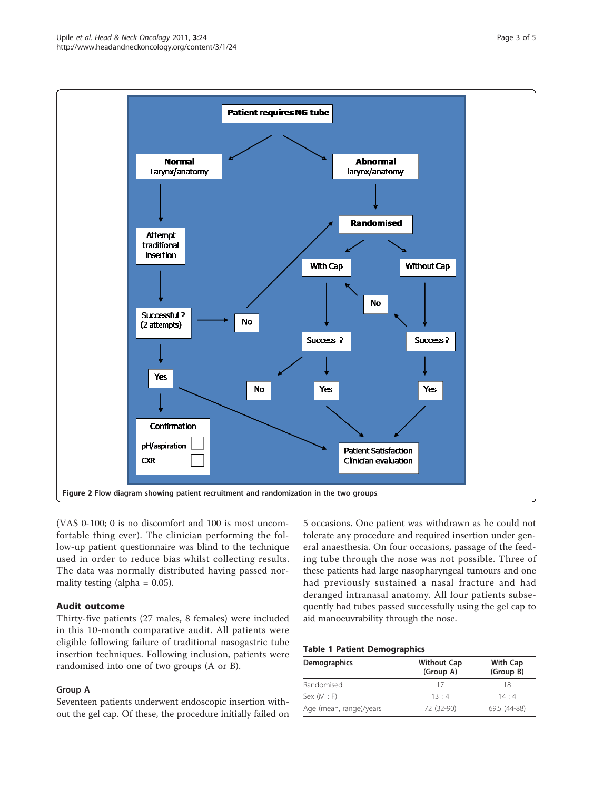<span id="page-2-0"></span>

(VAS 0-100; 0 is no discomfort and 100 is most uncomfortable thing ever). The clinician performing the follow-up patient questionnaire was blind to the technique used in order to reduce bias whilst collecting results. The data was normally distributed having passed normality testing (alpha = 0.05).

# Audit outcome

Thirty-five patients (27 males, 8 females) were included in this 10-month comparative audit. All patients were eligible following failure of traditional nasogastric tube insertion techniques. Following inclusion, patients were randomised into one of two groups (A or B).

# Group A

Seventeen patients underwent endoscopic insertion without the gel cap. Of these, the procedure initially failed on 5 occasions. One patient was withdrawn as he could not tolerate any procedure and required insertion under general anaesthesia. On four occasions, passage of the feeding tube through the nose was not possible. Three of these patients had large nasopharyngeal tumours and one had previously sustained a nasal fracture and had deranged intranasal anatomy. All four patients subsequently had tubes passed successfully using the gel cap to aid manoeuvrability through the nose.

# Table 1 Patient Demographics

| Demographics            | <b>Without Cap</b><br>(Group A) |              |
|-------------------------|---------------------------------|--------------|
| Randomised              | 17                              | 18           |
| Sex (M : F)             | $13 \cdot 4$                    | $14 \cdot 4$ |
| Age (mean, range)/years | 72 (32-90)                      | 69.5 (44-88) |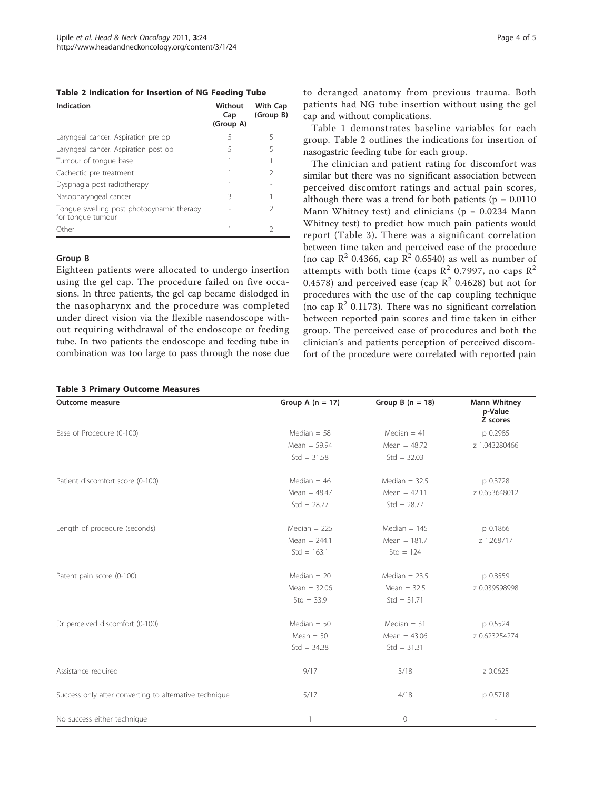<span id="page-3-0"></span>

| Indication                                                     | Without<br>Cap<br>(Group A) | <b>With Cap</b><br>(Group B) |
|----------------------------------------------------------------|-----------------------------|------------------------------|
| Laryngeal cancer. Aspiration pre op                            | 5                           | 5                            |
| Laryngeal cancer. Aspiration post op                           |                             | 5                            |
| Tumour of tonque base                                          |                             |                              |
| Cachectic pre treatment                                        |                             | 2                            |
| Dysphagia post radiotherapy                                    |                             |                              |
| Nasopharyngeal cancer                                          | Κ                           |                              |
| Tongue swelling post photodynamic therapy<br>for tonque tumour |                             | 2                            |
| Other                                                          |                             |                              |

# Group B

Eighteen patients were allocated to undergo insertion using the gel cap. The procedure failed on five occasions. In three patients, the gel cap became dislodged in the nasopharynx and the procedure was completed under direct vision via the flexible nasendoscope without requiring withdrawal of the endoscope or feeding tube. In two patients the endoscope and feeding tube in combination was too large to pass through the nose due to deranged anatomy from previous trauma. Both patients had NG tube insertion without using the gel cap and without complications.

Table [1](#page-2-0) demonstrates baseline variables for each group. Table 2 outlines the indications for insertion of nasogastric feeding tube for each group.

The clinician and patient rating for discomfort was similar but there was no significant association between perceived discomfort ratings and actual pain scores, although there was a trend for both patients ( $p = 0.0110$ ) Mann Whitney test) and clinicians ( $p = 0.0234$  Mann Whitney test) to predict how much pain patients would report (Table 3). There was a significant correlation between time taken and perceived ease of the procedure (no cap  $\mathbb{R}^2$  0.4366, cap  $\mathbb{R}^2$  0.6540) as well as number of attempts with both time (caps  $R^2$  0.7997, no caps  $R^2$ 0.4578) and perceived ease (cap  $\mathbb{R}^2$  0.4628) but not for procedures with the use of the cap coupling technique (no cap  $\mathbb{R}^2$  0.1173). There was no significant correlation between reported pain scores and time taken in either group. The perceived ease of procedures and both the clinician's and patients perception of perceived discomfort of the procedure were correlated with reported pain

#### Table 3 Primary Outcome Measures

| Outcome measure                                        | Group A $(n = 17)$ | Group B $(n = 18)$ | <b>Mann Whitney</b><br>p-Value<br>Z scores |
|--------------------------------------------------------|--------------------|--------------------|--------------------------------------------|
| Ease of Procedure (0-100)                              | $Median = 58$      | $Median = 41$      | p 0.2985                                   |
|                                                        | Mean = $59.94$     | Mean = $48.72$     | z 1.043280466                              |
|                                                        | $Std = 31.58$      | $Std = 32.03$      |                                            |
| Patient discomfort score (0-100)                       | Median $=$ 46      | Median $=$ 32.5    | p 0.3728                                   |
|                                                        | Mean = $48.47$     | Mean $= 42.11$     | z 0.653648012                              |
|                                                        | $Std = 28.77$      | $Std = 28.77$      |                                            |
| Length of procedure (seconds)                          | $Median = 225$     | Median $= 145$     | p 0.1866                                   |
|                                                        | Mean = $244.1$     | Mean $= 181.7$     | z 1.268717                                 |
|                                                        | $Std = 163.1$      | $Std = 124$        |                                            |
| Patent pain score (0-100)                              | Median $= 20$      | Median $= 23.5$    | p 0.8559                                   |
|                                                        | $Mean = 32.06$     | Mean $=$ 32.5      | z 0.039598998                              |
|                                                        | $Std = 33.9$       | $Std = 31.71$      |                                            |
| Dr perceived discomfort (0-100)                        | Median $= 50$      | $Median = 31$      | p 0.5524                                   |
|                                                        | $Mean = 50$        | Mean = $43.06$     | z 0.623254274                              |
|                                                        | $Std = 34.38$      | $Std = 31.31$      |                                            |
| Assistance required                                    | 9/17               | 3/18               | z 0.0625                                   |
| Success only after converting to alternative technique | 5/17               | 4/18               | p 0.5718                                   |
| No success either technique                            | 1                  | $\circ$            |                                            |